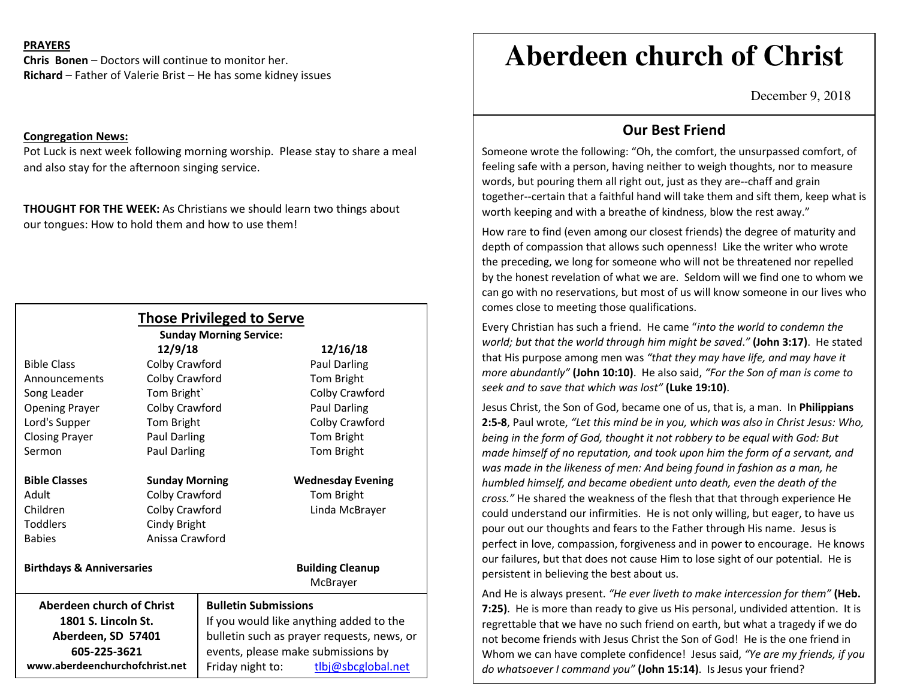## **PRAYERS**

**Chris Bonen** – Doctors will continue to monitor her. **Richard** – Father of Valerie Brist – He has some kidney issues

#### **Congregation News:**

Pot Luck is next week following morning worship. Please stay to share a meal and also stay for the afternoon singing service.

**THOUGHT FOR THE WEEK:** As Christians we should learn two things about our tongues: How to hold them and how to use them!

|                                      |                       | <b>Those Privileged to Serve</b><br><b>Sunday Morning Service:</b> |                          |
|--------------------------------------|-----------------------|--------------------------------------------------------------------|--------------------------|
|                                      | 12/9/18               |                                                                    | 12/16/18                 |
| <b>Bible Class</b>                   | Colby Crawford        |                                                                    | <b>Paul Darling</b>      |
| Announcements                        | Colby Crawford        |                                                                    | Tom Bright               |
| Song Leader                          | Tom Bright            |                                                                    | Colby Crawford           |
| <b>Opening Prayer</b>                | Colby Crawford        |                                                                    | <b>Paul Darling</b>      |
| Lord's Supper                        | Tom Bright            |                                                                    | Colby Crawford           |
| <b>Closing Prayer</b>                | <b>Paul Darling</b>   |                                                                    | Tom Bright               |
| Sermon                               | Paul Darling          |                                                                    | Tom Bright               |
| <b>Bible Classes</b>                 | <b>Sunday Morning</b> |                                                                    | <b>Wednesday Evening</b> |
| <b>Adult</b>                         | Colby Crawford        |                                                                    | Tom Bright               |
| Children                             | Colby Crawford        |                                                                    | Linda McBrayer           |
| <b>Toddlers</b>                      | Cindy Bright          |                                                                    |                          |
| <b>Babies</b>                        | Anissa Crawford       |                                                                    |                          |
| <b>Birthdays &amp; Anniversaries</b> |                       |                                                                    | <b>Building Cleanup</b>  |
|                                      |                       |                                                                    | McBrayer                 |
| Aberdeen church of Christ            |                       | <b>Bulletin Submissions</b>                                        |                          |
| 1801 S. Lincoln St.                  |                       | If you would like anything added to the                            |                          |
| Aberdeen, SD 57401                   |                       | bulletin such as prayer requests, news, or                         |                          |
| 605-225-3621                         |                       | events, please make submissions by                                 |                          |
| www.aberdeenchurchofchrist.net       |                       | Friday night to:                                                   | tlbj@sbcglobal.net       |

# **Aberdeen church of Christ**

December 9, 2018

## **Our Best Friend**

Someone wrote the following: "Oh, the comfort, the unsurpassed comfort, of feeling safe with a person, having neither to weigh thoughts, nor to measure words, but pouring them all right out, just as they are--chaff and grain together--certain that a faithful hand will take them and sift them, keep what is worth keeping and with a breathe of kindness, blow the rest away."

How rare to find (even among our closest friends) the degree of maturity and depth of compassion that allows such openness! Like the writer who wrote the preceding, we long for someone who will not be threatened nor repelled by the honest revelation of what we are. Seldom will we find one to whom we can go with no reservations, but most of us will know someone in our lives who comes close to meeting those qualifications.

Every Christian has such a friend. He came "*into the world to condemn the world; but that the world through him might be saved*.*"* **(John 3:17)**. He stated that His purpose among men was *"that they may have life, and may have it more abundantly"* **(John 10:10)**. He also said, *"For the Son of man is come to seek and to save that which was lost"* **(Luke 19:10)**.

Jesus Christ, the Son of God, became one of us, that is, a man. In **Philippians 2:5-8**, Paul wrote, *"Let this mind be in you, which was also in Christ Jesus: Who, being in the form of God, thought it not robbery to be equal with God: But made himself of no reputation, and took upon him the form of a servant, and was made in the likeness of men: And being found in fashion as a man, he humbled himself, and became obedient unto death, even the death of the cross."* He shared the weakness of the flesh that that through experience He could understand our infirmities. He is not only willing, but eager, to have us pour out our thoughts and fears to the Father through His name. Jesus is perfect in love, compassion, forgiveness and in power to encourage. He knows our failures, but that does not cause Him to lose sight of our potential. He is persistent in believing the best about us.

And He is always present. *"He ever liveth to make intercession for them"* **(Heb. 7:25)**. He is more than ready to give us His personal, undivided attention. It is regrettable that we have no such friend on earth, but what a tragedy if we do not become friends with Jesus Christ the Son of God! He is the one friend in Whom we can have complete confidence! Jesus said, *"Ye are my friends, if you do whatsoever I command you"* **(John 15:14)**. Is Jesus your friend?